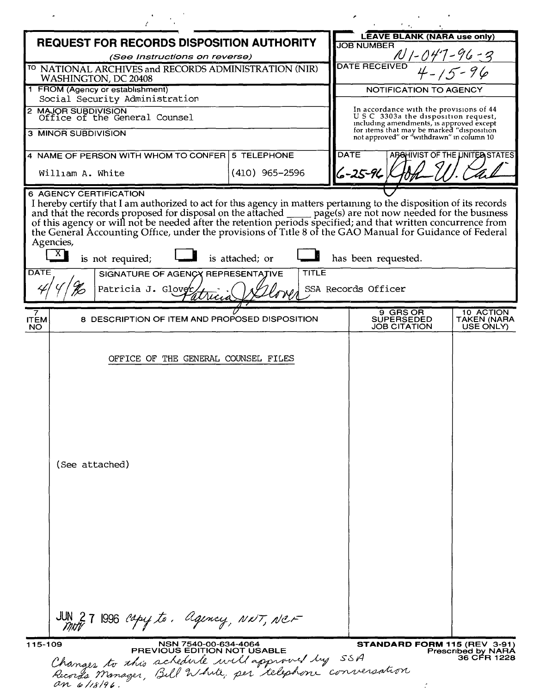| <b>REQUEST FOR RECORDS DISPOSITION AUTHORITY</b>                                         |                                                                                                                                                                                                                          |                  |              | <b>LEAVE BLANK (NARA use only)</b>                                                                                          |                                           |                                                                          |  |
|------------------------------------------------------------------------------------------|--------------------------------------------------------------------------------------------------------------------------------------------------------------------------------------------------------------------------|------------------|--------------|-----------------------------------------------------------------------------------------------------------------------------|-------------------------------------------|--------------------------------------------------------------------------|--|
| (See Instructions on reverse)                                                            |                                                                                                                                                                                                                          |                  |              | <b>JOB NUMBER</b>                                                                                                           |                                           |                                                                          |  |
| <sup>TO</sup> NATIONAL ARCHIVES and RECORDS ADMINISTRATION (NIR)<br>WASHINGTON, DC 20408 |                                                                                                                                                                                                                          |                  |              | <b>DATE RECEIVED</b>                                                                                                        |                                           |                                                                          |  |
| 1 FROM (Agency or establishment)                                                         |                                                                                                                                                                                                                          |                  |              | <b>NOTIFICATION TO AGENCY</b>                                                                                               |                                           |                                                                          |  |
| Social Security Administration                                                           |                                                                                                                                                                                                                          |                  |              | In accordance with the provisions of 44                                                                                     |                                           |                                                                          |  |
| 2 MAJOR SUBDIVISION<br>Office of the General Counsel                                     |                                                                                                                                                                                                                          |                  |              | USC 3303a the disposition request,<br>including amendments, is approved except<br>for items that may be marked "disposition |                                           |                                                                          |  |
|                                                                                          | 3 MINOR SUBDIVISION                                                                                                                                                                                                      |                  |              |                                                                                                                             | not approved" or "withdrawn" in column 10 |                                                                          |  |
|                                                                                          | 4 NAME OF PERSON WITH WHOM TO CONFER 5 TELEPHONE                                                                                                                                                                         |                  |              | <b>DATE</b>                                                                                                                 |                                           | ABOHIVIST OF THE UNITED STATES                                           |  |
|                                                                                          | William A. White                                                                                                                                                                                                         | $(410)$ 965-2596 |              | $6 - 25 - 96$                                                                                                               |                                           |                                                                          |  |
| <b>DATE</b>                                                                              | I hereby certify that I am authorized to act for this agency in matters pertaining to the disposition of its records<br>Agencies,<br> X <br>is not required;<br>SIGNATURE OF AGENCY REPRESENTATIVE<br>Patricia J. Glover | is attached; or  | <b>TITLE</b> | has been requested.<br>SSA Records Officer                                                                                  |                                           |                                                                          |  |
| <b>ITEM</b>                                                                              | 8 DESCRIPTION OF ITEM AND PROPOSED DISPOSITION                                                                                                                                                                           |                  |              |                                                                                                                             | 9 GRS OR<br><b>SUPERSEDED</b>             | 10 ACTION<br><b>TAKEN (NARA</b>                                          |  |
| <b>NO</b>                                                                                |                                                                                                                                                                                                                          |                  |              |                                                                                                                             | <b>JOB CITATION</b>                       | USE ONLY)                                                                |  |
|                                                                                          | OFFICE OF THE GENERAL COUNSEL FILES<br>(See attached)                                                                                                                                                                    |                  |              |                                                                                                                             |                                           |                                                                          |  |
|                                                                                          | JUN 27 1996 capy to, agency, NXT, NCF                                                                                                                                                                                    |                  |              |                                                                                                                             |                                           |                                                                          |  |
| 115-109                                                                                  | NSN 7540-00-634-4064<br><b>PREVIOUS EDITION NOT USABLE</b><br>Changes to this schedule will approved by SSA<br>Records Manager, Bill White, per telephone conversation<br>an 6/18/96                                     |                  |              |                                                                                                                             |                                           | <b>STANDARD FORM 115 (REV 3-91)</b><br>Prescribed by NARA<br>36 CFR 1228 |  |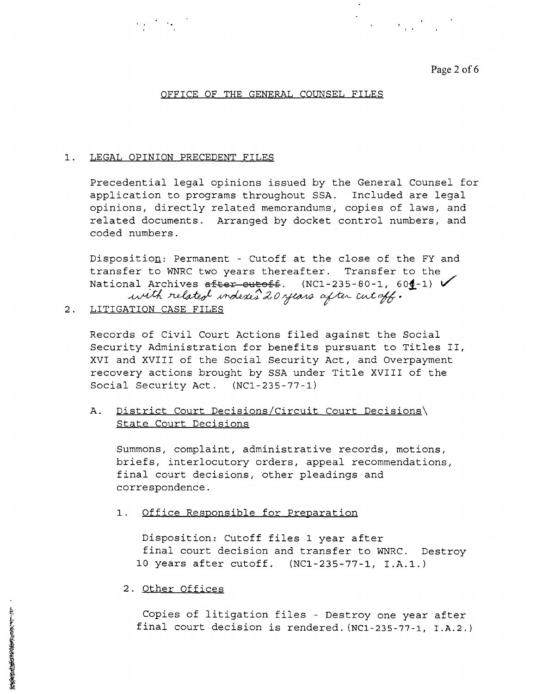Page 2 of 6

 $\mathcal{L}^{\text{max}}_{\text{max}}$ 

### OFFICE OF THE GENERAL COUNSEL FILES

### 1. LEGAL OPINION PRECEDENT FILES

 $\mathcal{L}_{\text{max}}(\mathcal{L}_{\text{max}})$ 

Precedential legal opinions issued by the General Counsel for application to programs throughout SSA. Included are legal opinions, directly related memorandums, copies of laws, and related documents. Arranged by docket control numbers, and coded numbers.

Dispositio<u>n</u>: Permanent - Cutoff at the close of the FY and transfer to WNRC two years thereafter. Transfer to the National Archives <del>after cutoff</del>. (NC1-235-80-1, 60**1**-1) **V**<br>with related indexes 2*0 years aft*er cut*off.* 

2. LITIGATION CASE FILES

Records of Civil Court Actions filed against the Social Security Administration for benefits pursuant to Titles II, XVI and XVIII of the Social Security Act, and Overpayment recovery actions brought by SSA under Title XVIII of the Social Security Act. (NCl-235-77-1)

A. <u>District Court Decisions/Circuit Court Decisions</u> State Court Decisions

Summons, complaint, administrative records, motions, briefs, interlocutory orders, appeal recommendations, final court decisions, other pleadings and correspondence.

1. Office Responsible for Preparation

Disposition: Cutoff files 1 year after final court decision and transfer to WNRC. Destroy 10 years after cutoff. (NCl-235-77-1, I.A.1.)

### 2. Other Offices

Copies of litigation<br>final court decision final court decision is rendered. (NCl-235-77-1, I.A.2.) Copies of litigation files - Destroy one year after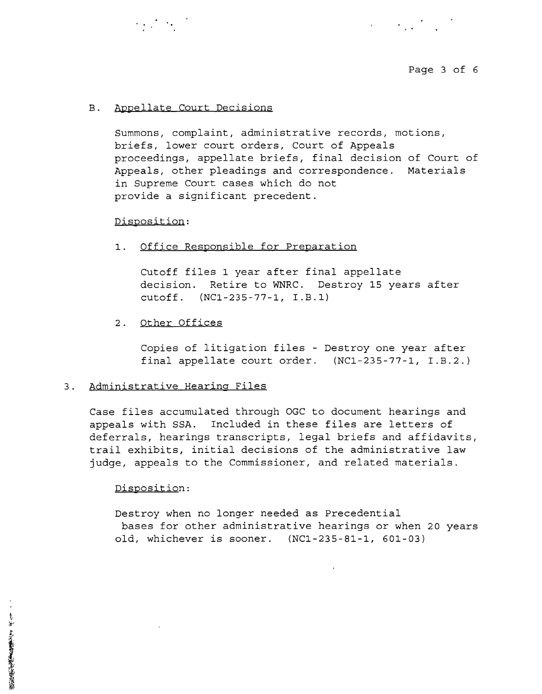

 $\label{eq:2} \mathcal{L}_{\text{max}} = \mathcal{L}_{\text{max}} + \mathcal{L}_{\text{max}}$ 

## B. Appellate Court Decisions

 $\mathcal{L} = \left\{ \begin{array}{ll} 0 & \mathcal{L}_{\text{max}} \leq \mathcal{L}_{\text{max}} \leq \mathcal{L}_{\text{max}} \end{array} \right.$ 

Summons, complaint, administrative records, motions, briefs, lower court orders, Court of Appeals proceedings, appellate briefs, final decision of Court of Appeals, other pleadings and correspondence. Materials in Supreme Court cases which do not provide a significant precedent.

### Disposition:

### 1. Office Responsible for Preparation

Cutoff files 1 year after final appellate decision. Retire to WNRC. Destroy 15 years after cutoff. (NCl-235-77-1, I.B.l)

### 2. Other Offices

Copies of litigation files - Destroy one year after final appellate court order. (NCI-235-77-1, I.B.2.)

#### 3. Administrative Hearing Files

Case files accumulated through OGC to document hearings and appeals with SSA. Included in these files are letters of deferrals, hearings transcripts, legal briefs and affidavits, trail exhibits, initial decisions of the administrative law judge, appeals to the Commissioner, and related materials.

#### Disposition:

Destroy when no longer needed as Precedential bases for other administrative hearings or when 20 years old, whichever is sooner. (NCI-235-81-1, 601-03)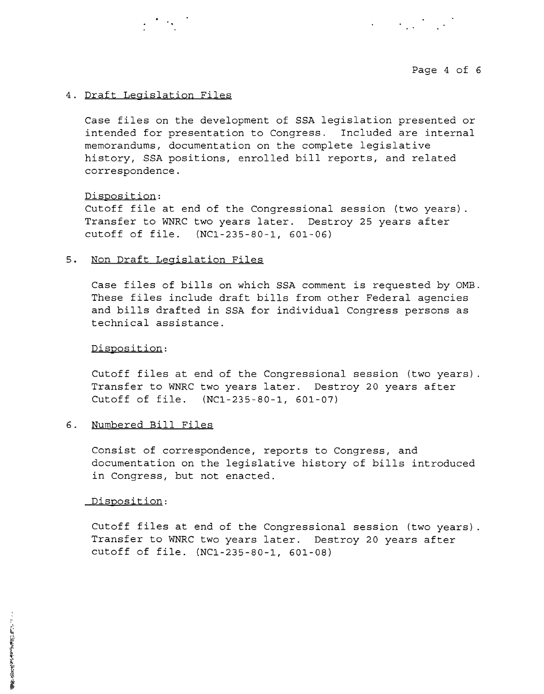

 $\label{eq:2} \mathcal{A}^{(1)} = \mathcal{A}^{(1)}_{\mathcal{A}^{(2)}} \mathcal{A}^{(1)}_{\mathcal{A}^{(2)}} \mathcal{A}^{(2)}_{\mathcal{A}^{(1)}}$ 

### 4. Draft Legislation Files

Case files on the development of SSA legislation presented or intended for presentation to Congress. Included are internal memorandums, documentation on the complete legislative history, SSA positions, enrolled bill reports, and related correspondence.

### Disposition:

Cutoff file at end of the Congressional session (two years) Transfer to WNRC two years later. Destroy 25 years after cutoff of file. (NCl-235-80-1, 601-06)

### **5.** Non Draft Legislation Files

Case files of bills on which SSA comment is requested by OMB. These files include draft bills from other Federal agencies and bills drafted in SSA for individual Congress persons as technical assistance.

#### Disposition:

Cutoff files at end of the Congressional session (two years) Transfer to WNRC two years later. Destroy 20 years after Cutoff of file. (NCl-235-80-1, 601-07)

# 6. Numbered Bill Files

Consist of correspondence, reports to Congress, and documentation on the legislative history of bills introduced in Congress, but not enacted.

#### Disposition:

Cutoff files at end of the Congressional session (two years) Transfer to WNRC two years later. Destroy 20 years after cutoff of file. (NCl-235-80-1, 601-08)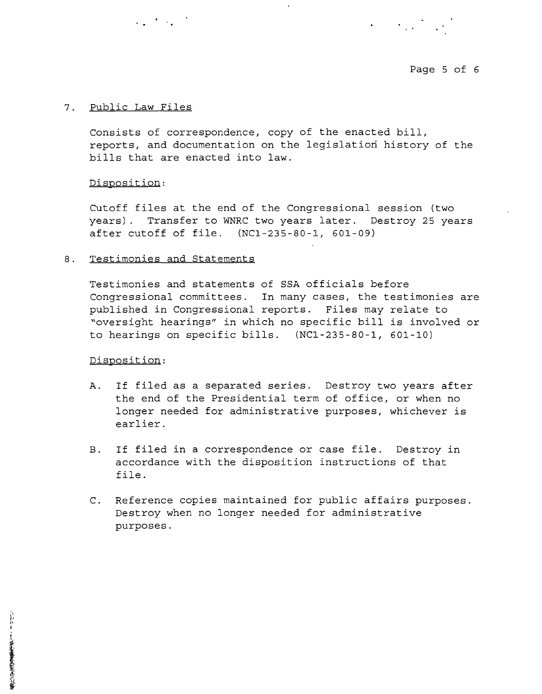Page 5 of 6

 $\label{eq:2} \mathcal{L}_{\text{eff}} = \mathcal{L}_{\text{eff}} + \mathcal{L}_{\text{eff}} + \mathcal{L}_{\text{eff}}$ 

### 7. Public Law Files

consists of correspondence, copy of the enacted bill, reports, and documentation on the legislation history of the bills that are enacted into law.

### Disposition:

Cutoff files at the end of the Congressional session (two years). Transfer to WNRC two years later. Destroy 25 years after cutoff of file. (NCl-235-80-1, 601-09)

### 8. Testimonies and Statements

 $\mathcal{L}_{\text{max}} = \frac{1}{2} \sum_{i=1}^{n} \frac{1}{2} \sum_{i=1}^{n} \frac{1}{2} \sum_{i=1}^{n} \frac{1}{2} \sum_{i=1}^{n} \frac{1}{2} \sum_{i=1}^{n} \frac{1}{2} \sum_{i=1}^{n} \frac{1}{2} \sum_{i=1}^{n} \frac{1}{2} \sum_{i=1}^{n} \frac{1}{2} \sum_{i=1}^{n} \frac{1}{2} \sum_{i=1}^{n} \frac{1}{2} \sum_{i=1}^{n} \frac{1}{2} \sum_{i=1}^{n} \frac{1$ 

Testimonies and statements of SSA officials before Congressional committees. In many cases, the testimonies are published in Congressional reports. Files may relate to "oversight hearings" in which no specific bill is involved or to hearings on specific bills. (NCl-235-80-1, 601-10)

## Disposition:

- A. If filed as a separated series. Destroy two years after the end of the Presidential term of office, or when no longer needed for administrative purposes, whichever is earlier.
- B. If filed in a correspondence or case file. Destroy in accordance with the disposition instructions of that file.
- C. Reference copies maintained for public affairs purposes. Destroy when no longer needed for administrative purposes.